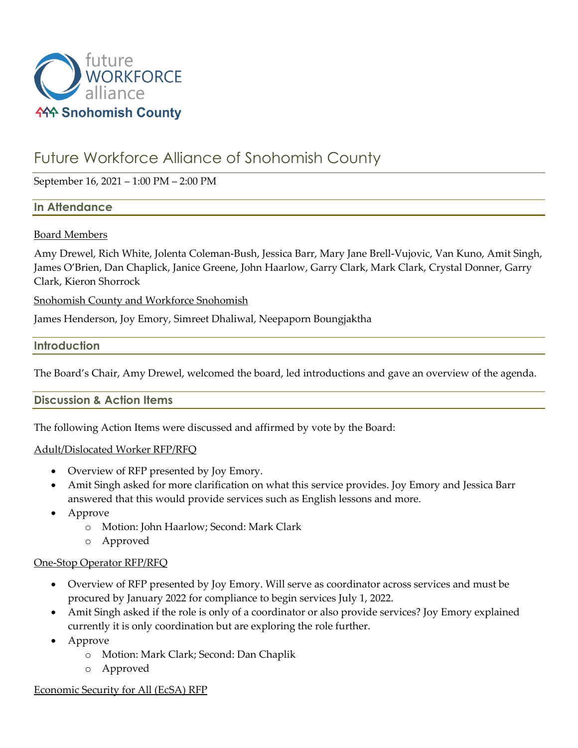

# Future Workforce Alliance of Snohomish County

September 16, 2021 – 1:00 PM – 2:00 PM

# **In Attendance**

#### Board Members

Amy Drewel, Rich White, Jolenta Coleman-Bush, Jessica Barr, Mary Jane Brell-Vujovic, Van Kuno, Amit Singh, James O'Brien, Dan Chaplick, Janice Greene, John Haarlow, Garry Clark, Mark Clark, Crystal Donner, Garry Clark, Kieron Shorrock

Snohomish County and Workforce Snohomish

James Henderson, Joy Emory, Simreet Dhaliwal, Neepaporn Boungjaktha

#### **Introduction**

The Board's Chair, Amy Drewel, welcomed the board, led introductions and gave an overview of the agenda.

# **Discussion & Action Items**

The following Action Items were discussed and affirmed by vote by the Board:

#### Adult/Dislocated Worker RFP/RFQ

- Overview of RFP presented by Joy Emory.
- Amit Singh asked for more clarification on what this service provides. Joy Emory and Jessica Barr answered that this would provide services such as English lessons and more.
- Approve
	- o Motion: John Haarlow; Second: Mark Clark
	- o Approved

#### One-Stop Operator RFP/RFQ

- Overview of RFP presented by Joy Emory. Will serve as coordinator across services and must be procured by January 2022 for compliance to begin services July 1, 2022.
- Amit Singh asked if the role is only of a coordinator or also provide services? Joy Emory explained currently it is only coordination but are exploring the role further.
- Approve
	- o Motion: Mark Clark; Second: Dan Chaplik
	- o Approved

#### Economic Security for All (EcSA) RFP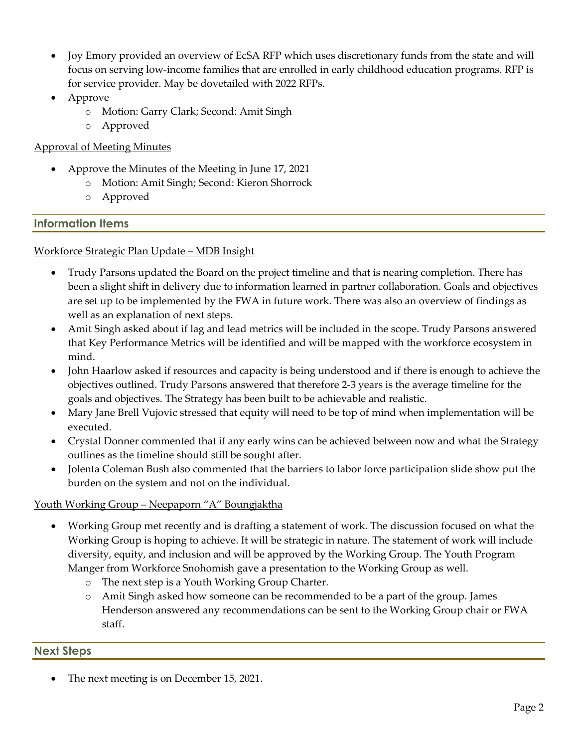- Joy Emory provided an overview of EcSA RFP which uses discretionary funds from the state and will focus on serving low-income families that are enrolled in early childhood education programs. RFP is for service provider. May be dovetailed with 2022 RFPs.
- Approve
	- o Motion: Garry Clark; Second: Amit Singh
	- o Approved

# Approval of Meeting Minutes

- Approve the Minutes of the Meeting in June 17, 2021
	- o Motion: Amit Singh; Second: Kieron Shorrock
	- o Approved

# **Information Items**

#### Workforce Strategic Plan Update – MDB Insight

- Trudy Parsons updated the Board on the project timeline and that is nearing completion. There has been a slight shift in delivery due to information learned in partner collaboration. Goals and objectives are set up to be implemented by the FWA in future work. There was also an overview of findings as well as an explanation of next steps.
- Amit Singh asked about if lag and lead metrics will be included in the scope. Trudy Parsons answered that Key Performance Metrics will be identified and will be mapped with the workforce ecosystem in mind.
- John Haarlow asked if resources and capacity is being understood and if there is enough to achieve the objectives outlined. Trudy Parsons answered that therefore 2-3 years is the average timeline for the goals and objectives. The Strategy has been built to be achievable and realistic.
- Mary Jane Brell Vujovic stressed that equity will need to be top of mind when implementation will be executed.
- Crystal Donner commented that if any early wins can be achieved between now and what the Strategy outlines as the timeline should still be sought after.
- Jolenta Coleman Bush also commented that the barriers to labor force participation slide show put the burden on the system and not on the individual.

# Youth Working Group – Neepaporn "A" Boungjaktha

- Working Group met recently and is drafting a statement of work. The discussion focused on what the Working Group is hoping to achieve. It will be strategic in nature. The statement of work will include diversity, equity, and inclusion and will be approved by the Working Group. The Youth Program Manger from Workforce Snohomish gave a presentation to the Working Group as well.
	- o The next step is a Youth Working Group Charter.
	- o Amit Singh asked how someone can be recommended to be a part of the group. James Henderson answered any recommendations can be sent to the Working Group chair or FWA staff.

# **Next Steps**

The next meeting is on December 15, 2021.